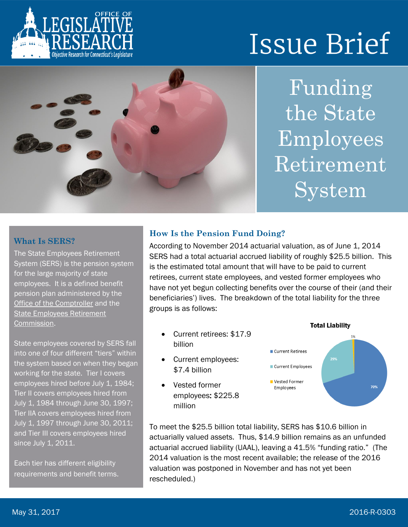

# **Issue Brief**



Funding the State Employees Retirement System

#### **What Is SERS?**

The State Employees Retirement System (SERS) is the pension system for the large majority of state employees. It is a defined benefit pension plan administered by the [Office of the Comptroller](http://www.osc.ct.gov/empret/stateretire.htm) and the [State Employees Retirement](http://www.osc.ct.gov/rbsd/commission/commission.html)  [Commission.](http://www.osc.ct.gov/rbsd/commission/commission.html)

State employees covered by SERS fall into one of four different "tiers" within the system based on when they began working for the state. Tier I covers employees hired before July 1, 1984; Tier II covers employees hired from July 1, 1984 through June 30, 1997; Tier IIA covers employees hired from July 1, 1997 through June 30, 2011; and Tier III covers employees hired since July 1, 2011.

Each tier has different eligibility requirements and benefit terms.

#### **How Is the Pension Fund Doing?**

According to November 2014 actuarial valuation, as of June 1, 2014 SERS had a total actuarial accrued liability of roughly \$25.5 billion. This is the estimated total amount that will have to be paid to current retirees, current state employees, and vested former employees who have not yet begun collecting benefits over the course of their (and their beneficiaries') lives. The breakdown of the total liability for the three groups is as follows:

- Current retirees: \$17.9 billion
- Current employees: \$7.4 billion
- Vested former employees: \$225.8 million



To meet the \$25.5 billion total liability, SERS has \$10.6 billion in actuarially valued assets. Thus, \$14.9 billion remains as an unfunded actuarial accrued liability (UAAL), leaving a 41.5% "funding ratio." (The 2014 valuation is the most recent available; the release of the 2016 valuation was postponed in November and has not yet been rescheduled.)